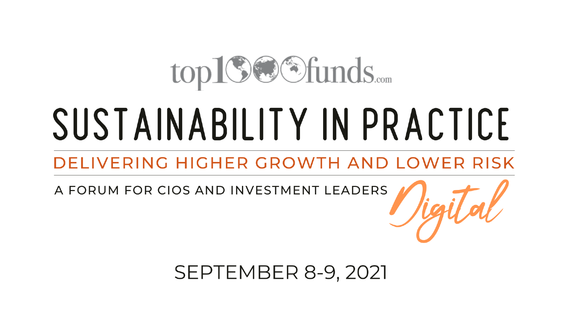## top19@Sfunds.....

# SUSTAINABILITY IN PRACTICE

#### DELIVERING HIGHER GROWTH AND LOWER RISK

A FORUM FOR CIOS AND INVESTMENT LEADERS

**SEPTEMBER 8-9, 2021**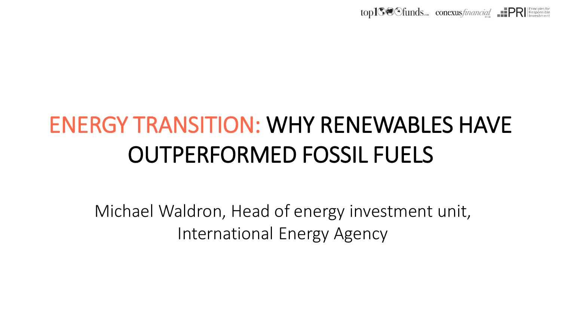

### **CUTPERFORMED FOSSIL FUELS** ENERGY TRANSITION: WHY RENEWABLES HAVE

International Energy Agency Michael Waldron, Head of Energy Investment Unit Michael Waldron, Head of energy investment unit,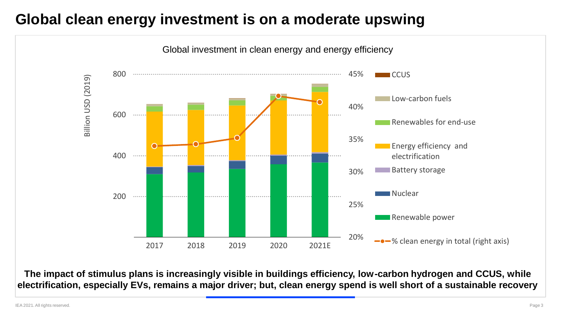#### **Global clean energy investment is on a moderate upswing**



**The impact of stimulus plans is increasingly visible in buildings efficiency, low-carbon hydrogen and CCUS, while electrification, especially EVs, remains a major driver; but, clean energy spend is well short of a sustainable recovery**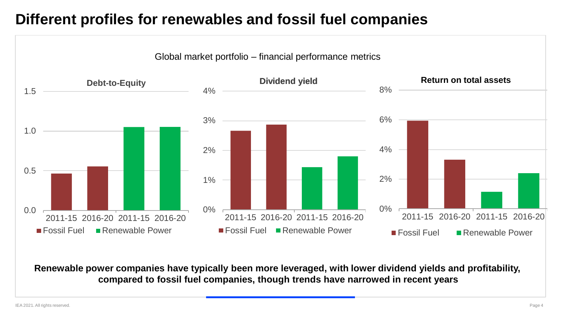#### **Different profiles for renewables and fossil fuel companies**



**Renewable power companies have typically been more leveraged, with lower dividend yields and profitability, compared to fossil fuel companies, though trends have narrowed in recent years**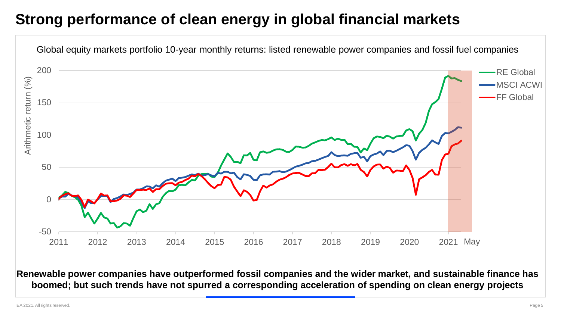#### **Strong performance of clean energy in global financial markets**



**Renewable power companies have outperformed fossil companies and the wider market, and sustainable finance has boomed; but such trends have not spurred a corresponding acceleration of spending on clean energy projects**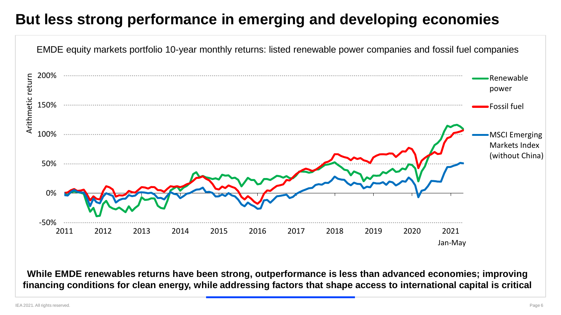#### **But less strong performance in emerging and developing economies**



**While EMDE renewables returns have been strong, outperformance is less than advanced economies; improving financing conditions for clean energy, while addressing factors that shape access to international capital is critical**